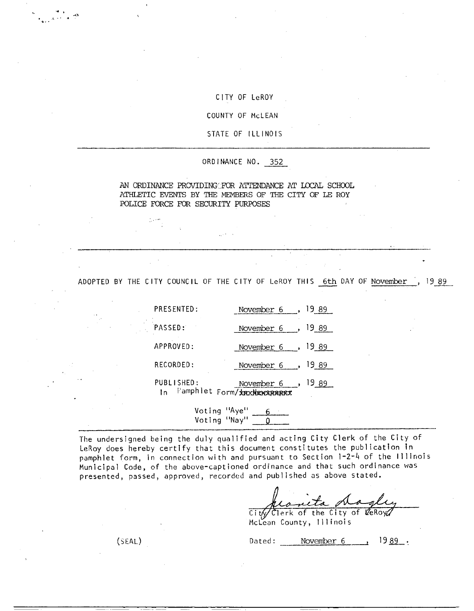## CITY OF LeROY

COUNTY OF McLEAN

STATE OF ILLINOIS

ORDINANCE NO. 352

AN ORDINANCE PROVIDING FOR ATTENDANCE AT LOCAL SCHOOL ATHLETIC EVENTS BY THE MEMBERS OF THE CITY OF LE ROY POLICE FORCE FOR SECURITY PURPOSES

ADOPTED BY THE CITY COUNCIL OF THE CITY OF LeROY THIS 6th DAY OF November , 19 89

| PRESENTED:        | November 6                                                    |
|-------------------|---------------------------------------------------------------|
| PASSED:           | November 6<br>1989                                            |
| APPROVED:         | November $6 \rightarrow 19.89$                                |
| RECORDED:         | 1989<br>November $6 \rightarrow$                              |
| PUBLISHED:<br>l n | 19 <u>89</u><br>November $6$ ,<br>Pamphlet Form/ XRXNRWSPARRX |

Voting "Aye" 6 Voting "Nay" -

The undersigned being the duly qualified and acting City Clerk of the City of LeRoy does hereby certify that this document constitutes the publication in pamphlet form, in connection with and pursuant to Section 1-2-4 of the Illinois Municipal Code, of the above-captioned ordinance and that such ordinance was presented, passed, approved, recorded and published as above stated.

(SEAL) Dated:  $\frac{1000}{\text{Total area}}$ <br>
(SEAL) Dated:  $\frac{1989}{\text{Total area}}$ 

 $City/Clerk$  of the City of  $KeRoyc$ McLean County, Illinois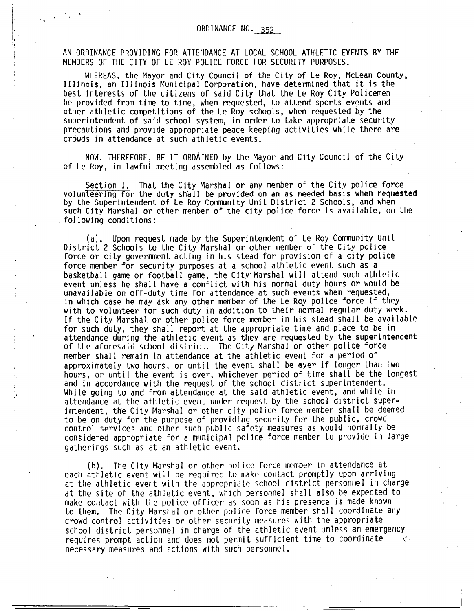AN ORDINANCE PROVIDING FOR ATTENDANCE AT LOCAL SCHOOL ATHLETIC EVENTS BY THE MEMBERS OF THE CITY OF LE ROY POLICE FORCE FOR SECURITY PURPOSES.

ļ! ļ!

> WHEREAS, the Mayor and City Council of the City of Le Roy, McLean County, Illinois, an Illinois Municipal Corporation, have determined that it is the best interests of the citizens of said City that the Le Roy City Policemen be provided from time to time, when requested, to attend sports events and other athletic competitions of the Le Roy schools, when requested by the superintendent of said school system, in order to take appropriate security precautions and provide appropriate peace keeping activities while there are crowds in attendance at such athletic events.

NOW, THEREFORE, BE IT ORDAINED by the Mayor and City Council of the City of Le Roy, in lawful meeting assembled as follows:

Section 1. That the City Marshal or any member of the City police force volunteering for the duty shall be provided on an as needed basis when requested by the Superintendent of Le Roy Community Unit District 2 Schools, and when such City Marshal or other member of the city police force is available, on the following conditions:

(a). Upon request made by the Superintendent of Le Roy Community Unit District 2 Schools to the City Marshal or other member of the City police force or city government acting in his stead for provision of a city police force member for security purposes at a school athletic event such as a basketball game or football game, the City- Marshal will attend such athletic event unless he shall have a conflict with his normal duty hours or would be unavailable on off-duty time for attendance at such events when requested, in which case he may ask any other member of the Le Roy police force if they with to volunteer for such duty in addition to their normal regular duty week. If the City Marshal or other police force member in his stead shall be available for such duty, they shall report at the appropriate time and place to be in attendance during the athletic event as they are requested by the superintendent of the aforesaid school district. The City Marshal or other police force member shall remain in attendance at the athletic event for a period of approximately two hours, or until the event shall be ever if longer than two hours, or until the event is over, whichever period of time shall be the longest and in accordance with the request of the school district superintendent. While going to and from attendance at the said athletic event, and while in attendance at the athletic event under request by the school district superintendent, the City Marshal or other city police force member shall be deemed to be on duty for the purpose of providing security for the public, crowd control services and other such public safety measures as would normally be considered appropriate for a municipal police force member to provide in large gatherings such as at an athletic event.

(b). The City Marshal or other police force member in attendance at each athletic event will be required to make contact promptly upon arriving at the athletic event with the appropriate school district personnel in charge at the site of the athletic event, which personnel shall also be expected to make contact with the police officer as soon as his presence is made known to them. The City Marshal or other police force member shall coordinate any crowd control activities or other security measures with the appropriate school district personnel in charge of the athletic event unless an emergency requires prompt action and does not permit sufficient time to coordinate necessary measures and actions with such personnel.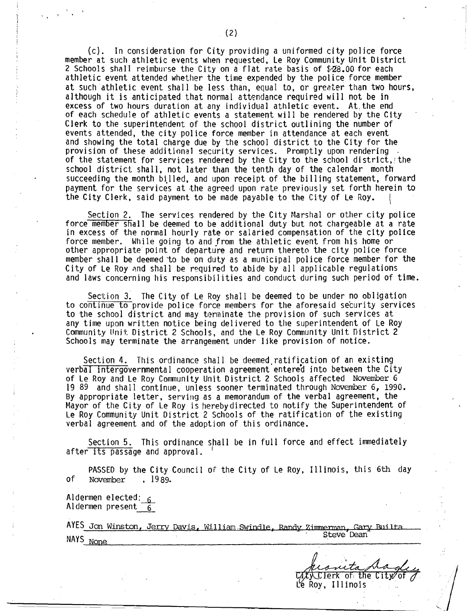(c). In consideration for City providing a uniformed city police force member at such athletic events when requested, Le Roy Community Unit District 2 Schools shall reimburse the City on a flat rate basis of  $$28.00$  for each athletic event attended whether the time expended by the police force member at such athletic event shall be less than, equal to, or greater than two hours, although it is anticipated that normal attendance required will not be in excess of two hours duration at any individual athletic event. At,the end of each schedule of athletic events a statement will be rendered by the City Clerk to the superintendent of the school district outlining the number of events attended, the city police force member in attendance at each event and showing the total charge due by the school district to the City for the provision of these additional security services. Promptly upon rendering of the statement for services rendered by the City to the school district, the school district shall, not later than the tenth day of the calendar month succeeding the month billed, and upon receipt of the billing statement, forward payment for the services at the agreed upon rate previously set forth herein to the City Clerk, said payment to be made payable to the City of Le Roy.

Section 2. The services rendered by the City Marshal or other city police force member shall be deemed to be additional duty but not chargeable at a rate in excess of the normal hourly rate or salaried compensation of the city police force member. While going to and from the athletic event from his home or other appropriate point of departure and return thereto the city police force member shall be deemed`to be on duty as a municipal police force member for the City of Le Roy and shall be required to abide by all applicable regulations and laws concerning his responsibilities and conduct during such period of time.

Section 3. The City of Le Roy shall be deemed to be under no obligation to continue to provide police force members for the aforesaid security services to the school district and may terminate the provision of such services at any time upon written notice being delivered to the superintendent of Le Roy Community (knit: District 2 Schools, and the Le Roy Community Unit District 2 Schools may terminate the arrangement under like provision of notice.

Section 4. This ordinance shall be deemed ratification of an existing verbal intergovernmental cooperation agreement entered into between the City of Le Roy and Le Roy Community Unit District 2 Schools affected November 6 19 89 and shall continue, unless sooner terminated through November 6, 1990. By appropriate letter, serving as a memorandum of the verbal agreement, the Mayor of the City of Le Roy is hereby directed to notify the Superintendent of Le Roy Community Unit District 2 Schools of the ratification of the existing verbal agreement and of the adoption of this ordinance.

Section 5. This ordinance shall be in full force and effect immediately after its passage and approval.

PASSED by the City Council of the City of Le Roy, Illinois, this 6th day November, 1989. of November

Aldermen elected: 6 Aldermen present  $6$ 

AYES Jon Winston, Jerry Davis, William Swindle, Randy Zimmerman, Gary Builta NAYS None Steve Dean

 $\mathcal{C}$ v.  $\mathcal{C}$  lerk of the City

Le Roy., Illinois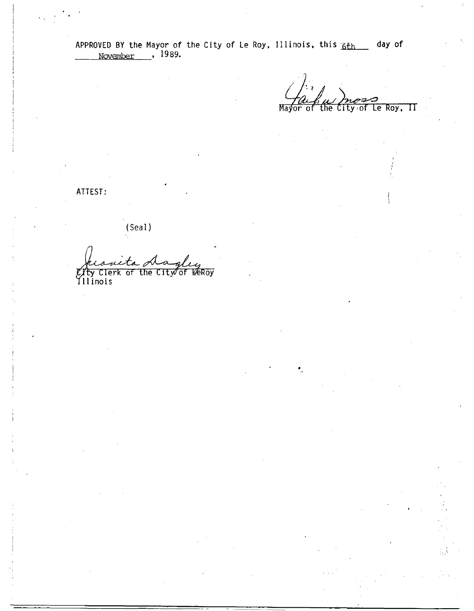Le Roy, II May  $City$  of the 'nn .nt

ATTEST:

(Seal)

**VEROY** The City of.

*City* Clerk of<br>Illinois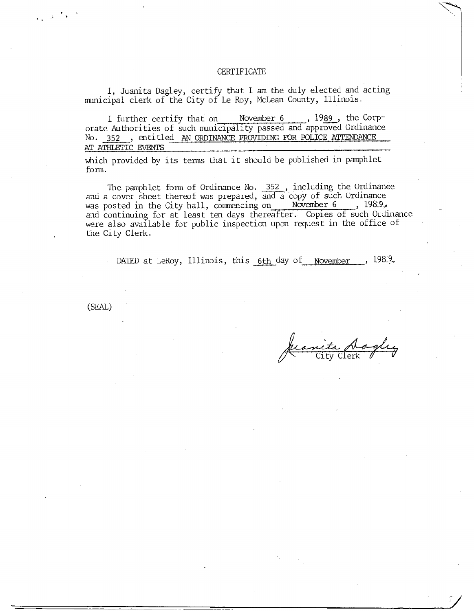## CERTIFICATE

I, Juanita Dagley, certify that 1 am the duly elected and acting municipal clerk of the City of Le Roy, McLean County, Illinois.

I further certify that on November 6 , 1989, the Corporate Authorities of such municipality passed and approved Ordinance No. 352 , entitled AN ORDINANCE PROVIDING FOR POLICE ATTENDANCE AT ATHLETIC EVENTS

which provided by its terms that it should be published in pamphlet form.

The pamphlet form of Ordinance No. 352, including the Ordinance and a cover sheet thereof was prepared, and a copy of such Ordinance was posted in the City hall, commencing on November 6 , 198.9,. and continuing for at least ten days thereafter. Copies of such Ordinance were also available for public inspection upon request in the office of the City Clerk.

DATED at LeRoy, Illinois, this 6th day of November ,  $198\%$ .

(SEAL)

 $\frac{\mu}{\sqrt{2}}$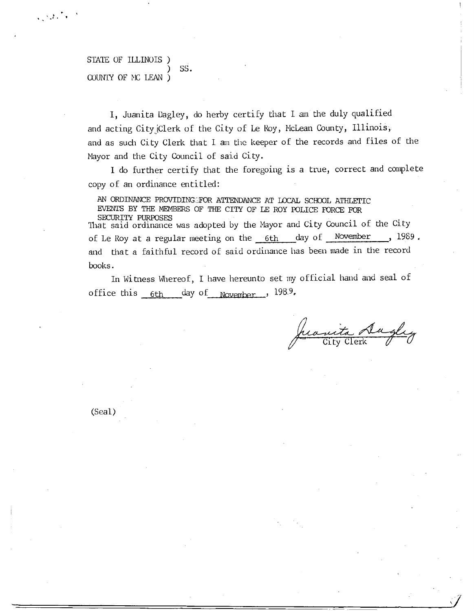## STATE OF ILLINOIS ) SS. COUNTY OF MC LEAN )

 $\label{eq:1} \frac{1}{\sqrt{2}}\sum_{i=1}^n\sum_{j=1}^n\frac{1}{j}\sum_{j=1}^n\frac{1}{j}\sum_{j=1}^n\frac{1}{j}\sum_{j=1}^n\frac{1}{j}\sum_{j=1}^n\frac{1}{j}\sum_{j=1}^n\frac{1}{j}\sum_{j=1}^n\frac{1}{j}\sum_{j=1}^n\frac{1}{j}\sum_{j=1}^n\frac{1}{j}\sum_{j=1}^n\frac{1}{j}\sum_{j=1}^n\frac{1}{j}\sum_{j=1}^n\frac{1}{j}\sum_{j=1}^n\frac{1}{$ 

I, Juanita Dagley, do herby certify that I am the duly qualified and acting CityjClerk of the City of Le Roy, McLean County, Illinois;. and as such City Clerk that I am the keeper of the records and files of the Mayor and the City Council of said City.

I do further certify that the foregoing is a true, correct and complete copy of an ordinance entitled:

AN ORDINANCE PROVIDINGEFOR ATTENDANCE AT LOCAL SCHOOL ATHLETIC EVENTS BY THE MEMBERS OF THE CITY OF LE ROY POLICE FORCE FOR

SECURITY PURPOSES That said ordinance was adopted by the Mayor and City Council of the City of Le Roy at a regular meeting on the 6th day of November , 1989. and that a faithful record of said ordinance has been made in the record books.

In Witness Whereof, I have hereunto set my official hand and seal of office this 6th day of November , 1989.

uita Augly

(Seal)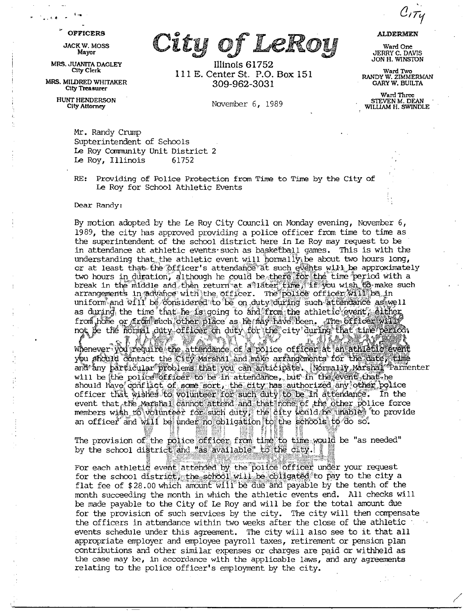$\mathcal{C}_I \tau$ y

## **OFFICERS**

**JACK W. MOSS** Mayor

MRS. JUANITA DAGLEY City Clerk

MRS. MILDRED WHITAKER **City Treasurer** 

> **HUNT HENDERSON City Attorney**

City of LeRoy

Illinois 61752 111 E. Center St. P.O. Box 151 309-962-3031

November 6, 1989

**ALDERMEN** 

Ward One **JERRY C. DAVIS** JON H. WINSTON

Ward Two<br>RANDY W. ZIMMERMAN **GARY W. BUILTA** 

Ward Three STEVEN M. DEAN<br>WILLIAM H. SWINDLE

Mr. Randy Crump Supterintendent of Schools Le Roy Community Unit District 2 Le Roy, Illinois 61752

 $RE:$ Providing of Police Protection from Time to Time by the City of Le Roy for School Athletic Events

Dear Randy:

By motion adopted by the Le Roy City Council on Monday evening, November  $6$ , 1989, the city has approved providing a police officer from time to time as the superintendent of the school district here in Le Roy may request to be in attendance at athletic events such as basketball games. This is with the understanding that the athletic event will hormally be about two hours long, or at least that the officer's attendance at such events will be approximately two hours in duration, although he could be there for the time period with a<br>break in the middle and then return at a later time, if you wish to make such<br>arrangements in advance with the officer. The police officer will b uniform and will be considered to be on duty during such attendance as well as during the time that he is going to and from the athletic event, either from home or *firem* such other place as he may have been. The officer will not be the homel duty officer on duty for the city during that time period.

WAL'IN r 11 Ma Whenever you require the attendance of a police of ficer at an atturatio event you should contact the City Marshal and make arrangements for the date, time and any particular problems that you can anticipate. Normally Marshal Parmenter will be the police of ficer to be in attendance, but in the event that he should have conflict of some sort, the city has authorized any other bolice officer that wishes to volunteer for such duty to be in attendance. In the event that the marshal cannot attend and that none of the other police force<br>members wish to volunteer for such duty, the city would be unables to provide an officer and will be under no obligation to the schools to do so.

The provision of the police officer from time to time would be "as needed" by the school district and "as available" to the city.

For each athletic event attended by the police officer under your request for the school district, the school will be obligated to pay to the city a flat fee of \$28.00 which amount will be due and payable by the tenth of the month succeeding the month in which the athletic events end. All checks will be made payable to the City of Le Roy and will be for the total amount due for the provision of such services by the city. The city will then compensate the officers in attendance within two weeks after the close of the athletic events schedule under this agreement. The city will also see to it that all appropriate employer and employee payroll taxes, retirement or pension plan contributions and other similar expenses or charges are paid or withheld as the case may be, in accordance with the applicable laws, and any agreements relating to the police officer's employment by the city.